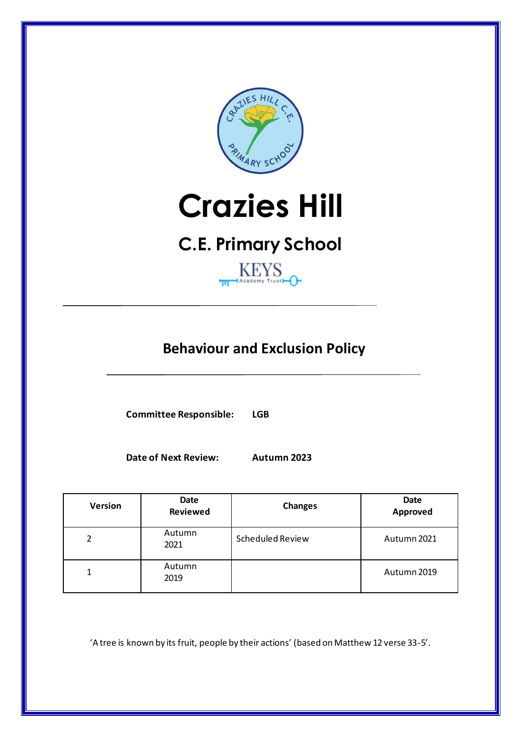

# **Crazies Hill**

## **C.E. Primary School**



### **Behaviour and Exclusion Policy**

**Committee Responsible: LGB**

**Date of Next Review: Autumn 2023**

| <b>Version</b> | Date<br><b>Reviewed</b> | <b>Changes</b>   | Date<br><b>Approved</b> |
|----------------|-------------------------|------------------|-------------------------|
| 2              | Autumn<br>2021          | Scheduled Review | Autumn 2021             |
| 1              | Autumn<br>2019          |                  | Autumn 2019             |

'A tree is known by its fruit, people by their actions' (based on Matthew 12 verse 33-5'.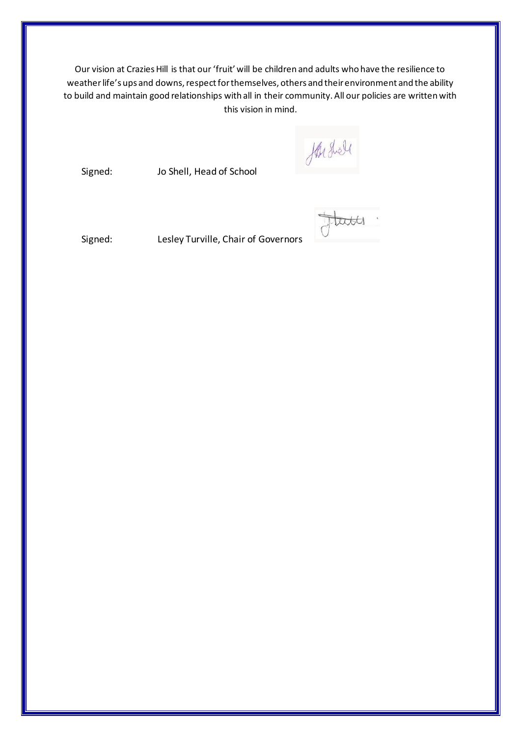Our vision at Crazies Hill is that our 'fruit' will be children and adults who have the resilience to weather life's ups and downs, respect for themselves, others and their environment and the ability to build and maintain good relationships with all in their community. All our policies are written with this vision in mind.

farshell

Signed: Jo Shell, Head of School

tates

Signed: Lesley Turville, Chair of Governors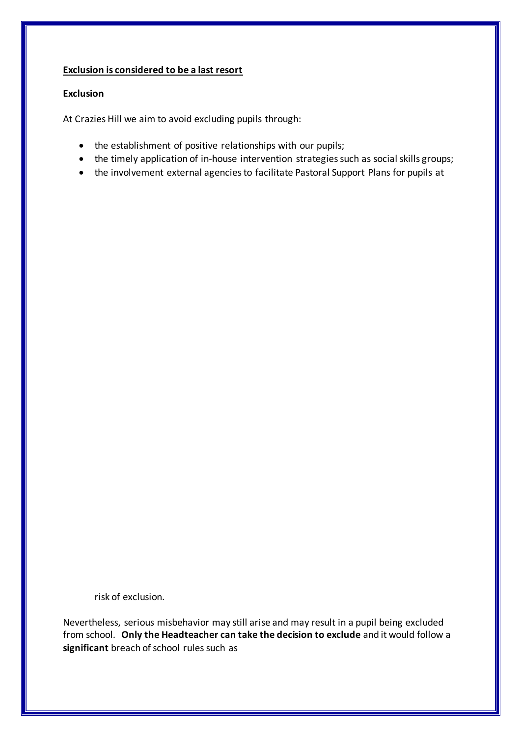#### **Exclusion is considered to be a last resort**

#### **Exclusion**

At Crazies Hill we aim to avoid excluding pupils through:

- the establishment of positive relationships with our pupils;
- the timely application of in-house intervention strategies such as social skills groups;
- the involvement external agencies to facilitate Pastoral Support Plans for pupils at

risk of exclusion.

Nevertheless, serious misbehavior may still arise and may result in a pupil being excluded from school. **Only the Headteacher can take the decision to exclude** and it would follow a significant breach of school rules such as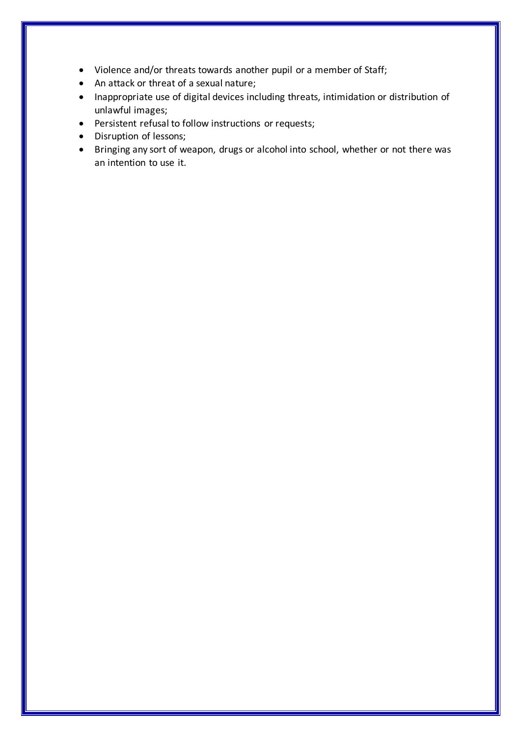- Violence and/or threats towards another pupil or a member of Staff;
- An attack or threat of a sexual nature;
- Inappropriate use of digital devices including threats, intimidation or distribution of unlawful images;
- Persistent refusal to follow instructions or requests;
- Disruption of lessons;
- Bringing any sort of weapon, drugs or alcohol into school, whether or not there was an intention to use it.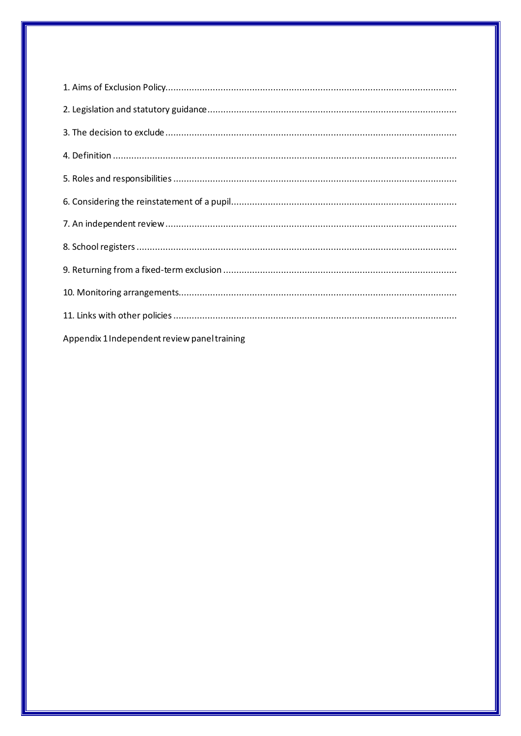| Appendix 1 Independent review panel training |
|----------------------------------------------|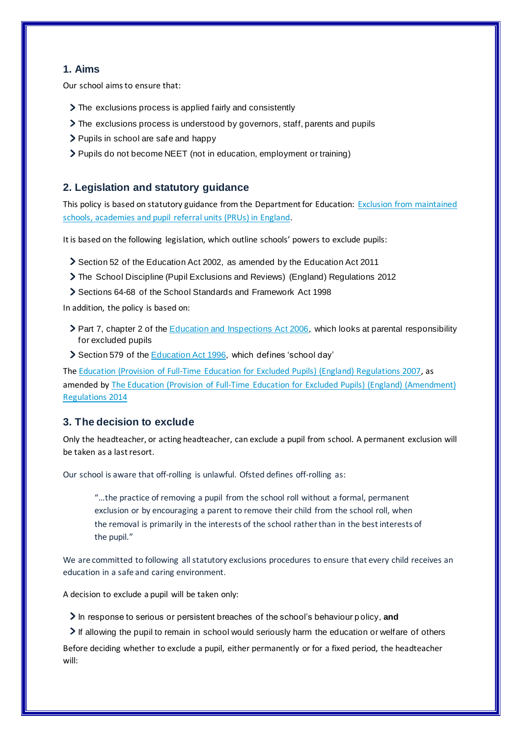#### **1. Aims**

Our school aims to ensure that:

- The exclusions process is applied fairly and consistently
- The exclusions process is understood by governors, staff, parents and pupils
- > Pupils in school are safe and happy
- > Pupils do not become NEET (not in education, employment or training)

#### **2. Legislation and statutory guidance**

This policy is based on statutory guidance from the Department for Education: Exclusion from maintained schools, academies and pupil referral units (PRUs) in England.

It is based on the following legislation, which outline schools' powers to exclude pupils:

- Section 52 of the Education Act 2002, as amended by the Education Act 2011
- The School Discipline (Pupil Exclusions and Reviews) (England) Regulations 2012
- Sections 64-68 of the School Standards and Framework Act 1998

In addition, the policy is based on:

- ▶ Part 7, chapter 2 of the Education and Inspections Act 2006, which looks at parental responsibility for excluded pupils
- Section 579 of the Education Act 1996, which defines 'school day'

The Education (Provision of Full-Time Education for Excluded Pupils) (England) Regulations 2007, as amended by The Education (Provision of Full-Time Education for Excluded Pupils) (England) (Amendment) Regulations 2014

#### **3. The decision to exclude**

Only the headteacher, or acting headteacher, can exclude a pupil from school. A permanent exclusion will be taken as a last resort.

Our school is aware that off-rolling is unlawful. Ofsted defines off-rolling as:

"…the practice of removing a pupil from the school roll without a formal, permanent exclusion or by encouraging a parent to remove their child from the school roll, when the removal is primarily in the interests of the school rather than in the best interests of the pupil."

We are committed to following all statutory exclusions procedures to ensure that every child receives an education in a safe and caring environment.

A decision to exclude a pupil will be taken only:

In response to serious or persistent breaches of the school's behaviour policy, and

If allowing the pupil to remain in school would seriously harm the education or welfare of others

Before deciding whether to exclude a pupil, either permanently or for a fixed period, the headteacher will: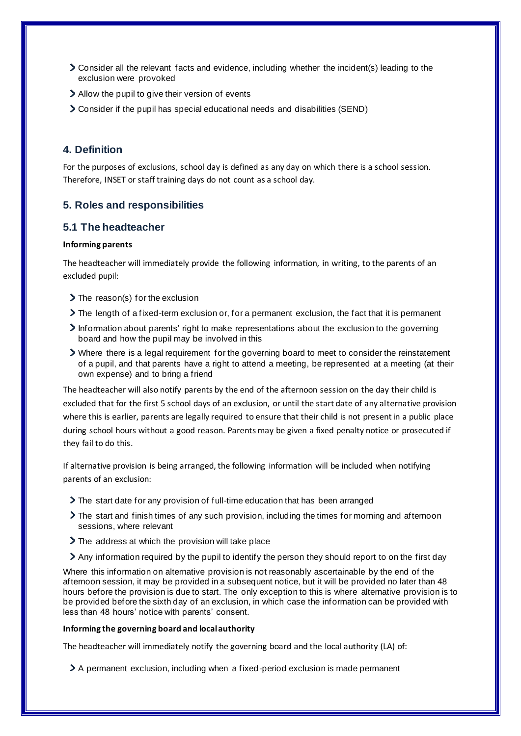- Consider all the relevant facts and evidence, including whether the incident(s) leading to the exclusion were provoked
- Allow the pupil to give their version of events
- Consider if the pupil has special educational needs and disabilities (SEND)

#### **4. Definition**

For the purposes of exclusions, school day is defined as any day on which there is a school session. Therefore, INSET or staff training days do not count as a school day.

#### **5. Roles and responsibilities**

#### **5.1 The headteacher**

#### **Informing parents**

The headteacher will immediately provide the following information, in writing, to the parents of an excluded pupil:

- $\sum$  The reason(s) for the exclusion
- The length of a fixed-term exclusion or, for a permanent exclusion, the fact that it is permanent
- Information about parents' right to make representations about the exclusion to the governing board and how the pupil may be involved in this
- Where there is a legal requirement for the governing board to meet to consider the reinstatement of a pupil, and that parents have a right to attend a meeting, be represented at a meeting (at their own expense) and to bring a friend

The headteacher will also notify parents by the end of the afternoon session on the day their child is excluded that for the first 5 school days of an exclusion, or until the start date of any alternative provision where this is earlier, parents are legally required to ensure that their child is not present in a public place during school hours without a good reason. Parents may be given a fixed penalty notice or prosecuted if they fail to do this.

If alternative provision is being arranged, the following information will be included when notifying parents of an exclusion:

- The start date for any provision of full-time education that has been arranged
- The start and finish times of any such provision, including the times for morning and afternoon sessions, where relevant
- > The address at which the provision will take place
- Any information required by the pupil to identify the person they should report to on the first day

Where this information on alternative provision is not reasonably ascertainable by the end of the afternoon session, it may be provided in a subsequent notice, but it will be provided no later than 48 hours before the provision is due to start. The only exception to this is where alternative provision is to be provided before the sixth day of an exclusion, in which case the information can be provided with less than 48 hours' notice with parents' consent.

#### **Informing the governing board and local authority**

The headteacher will immediately notify the governing board and the local authority (LA) of:

A permanent exclusion, including when a fixed-period exclusion is made permanent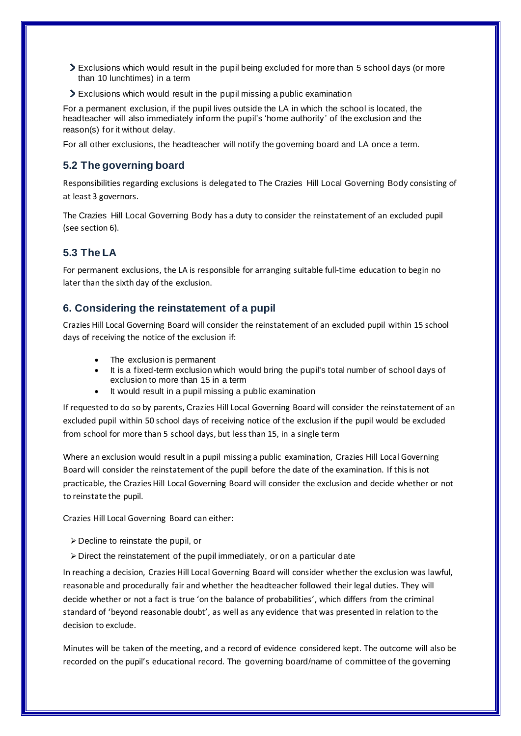- Exclusions which would result in the pupil being excluded for more than 5 school days (or more than 10 lunchtimes) in a term
- Exclusions which would result in the pupil missing a public examination

For a permanent exclusion, if the pupil lives outside the LA in which the school is located, the headteacher will also immediately inform the pupil's 'home authority' of the exclusion and the reason(s) for it without delay.

For all other exclusions, the headteacher will notify the governing board and LA once a term.

#### **5.2 The governing board**

Responsibilities regarding exclusions is delegated to The Crazies Hill Local Governing Body consisting of at least 3 governors.

The Crazies Hill Local Governing Body has a duty to consider the reinstatement of an excluded pupil (see section 6).

#### **5.3 The LA**

For permanent exclusions, the LA is responsible for arranging suitable full-time education to begin no later than the sixth day of the exclusion.

#### **6. Considering the reinstatement of a pupil**

Crazies Hill Local Governing Board will consider the reinstatement of an excluded pupil within 15 school days of receiving the notice of the exclusion if:

- The exclusion is permanent
- It is a fixed-term exclusion which would bring the pupil's total number of school days of exclusion to more than 15 in a term
- It would result in a pupil missing a public examination

If requested to do so by parents, Crazies Hill Local Governing Board will consider the reinstatement of an excluded pupil within 50 school days of receiving notice of the exclusion if the pupil would be excluded from school for more than 5 school days, but less than 15, in a single term

Where an exclusion would result in a pupil missing a public examination, Crazies Hill Local Governing Board will consider the reinstatement of the pupil before the date of the examination. If this is not practicable, the Crazies Hill Local Governing Board will consider the exclusion and decide whether or not to reinstate the pupil.

Crazies Hill Local Governing Board can either:

- $\triangleright$  Decline to reinstate the pupil, or
- ➢Direct the reinstatement of the pupil immediately, or on a particular date

In reaching a decision, Crazies Hill Local Governing Board will consider whether the exclusion was lawful, reasonable and procedurally fair and whether the headteacher followed their legal duties. They will decide whether or not a fact is true 'on the balance of probabilities', which differs from the criminal standard of 'beyond reasonable doubt', as well as any evidence that was presented in relation to the decision to exclude.

Minutes will be taken of the meeting, and a record of evidence considered kept. The outcome will also be recorded on the pupil's educational record. The governing board/name of committee of the governing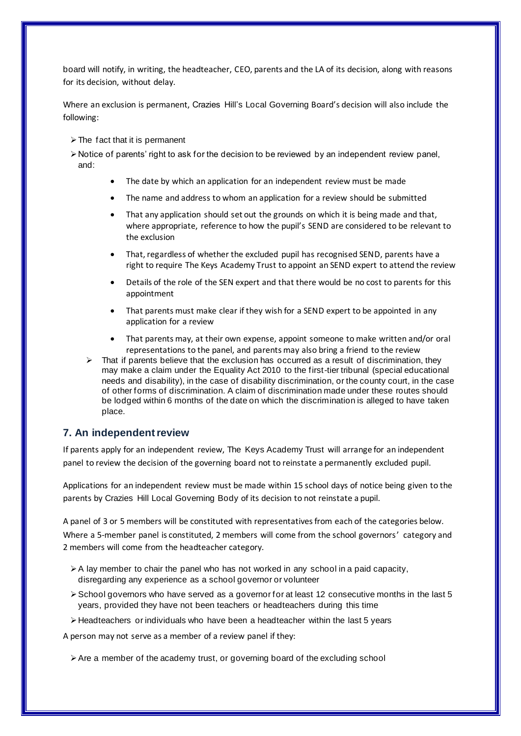board will notify, in writing, the headteacher, CEO, parents and the LA of its decision, along with reasons for its decision, without delay.

Where an exclusion is permanent, Crazies Hill's Local Governing Board's decision will also include the following:

- ➢The fact that it is permanent
- $\triangleright$  Notice of parents' right to ask for the decision to be reviewed by an independent review panel, and:
	- The date by which an application for an independent review must be made
	- The name and address to whom an application for a review should be submitted
	- That any application should set out the grounds on which it is being made and that, where appropriate, reference to how the pupil's SEND are considered to be relevant to the exclusion
	- That, regardless of whether the excluded pupil has recognised SEND, parents have a right to require The Keys Academy Trust to appoint an SEND expert to attend the review
	- Details of the role of the SEN expert and that there would be no cost to parents for this appointment
	- That parents must make clear if they wish for a SEND expert to be appointed in any application for a review
	- That parents may, at their own expense, appoint someone to make written and/or oral representations to the panel, and parents may also bring a friend to the review
	- That if parents believe that the exclusion has occurred as a result of discrimination, they may make a claim under the Equality Act 2010 to the first-tier tribunal (special educational needs and disability), in the case of disability discrimination, or the county court, in the case of other forms of discrimination. A claim of discrimination made under these routes should be lodged within 6 months of the date on which the discrimination is alleged to have taken place.

#### **7. An independent review**

If parents apply for an independent review, The Keys Academy Trust will arrange for an independent panel to review the decision of the governing board not to reinstate a permanently excluded pupil.

Applications for an independent review must be made within 15 school days of notice being given to the parents by Crazies Hill Local Governing Body of its decision to not reinstate a pupil.

A panel of 3 or 5 members will be constituted with representatives from each of the categories below. Where a 5-member panel is constituted, 2 members will come from the school governors' category and 2 members will come from the headteacher category.

- $\triangleright$  A lay member to chair the panel who has not worked in any school in a paid capacity, disregarding any experience as a school governor or volunteer
- ➢School governors who have served as a governor for at least 12 consecutive months in the last 5 years, provided they have not been teachers or headteachers during this time
- $\triangleright$  Headteachers or individuals who have been a headteacher within the last 5 years

A person may not serve as a member of a review panel if they:

 $\triangleright$  Are a member of the academy trust, or governing board of the excluding school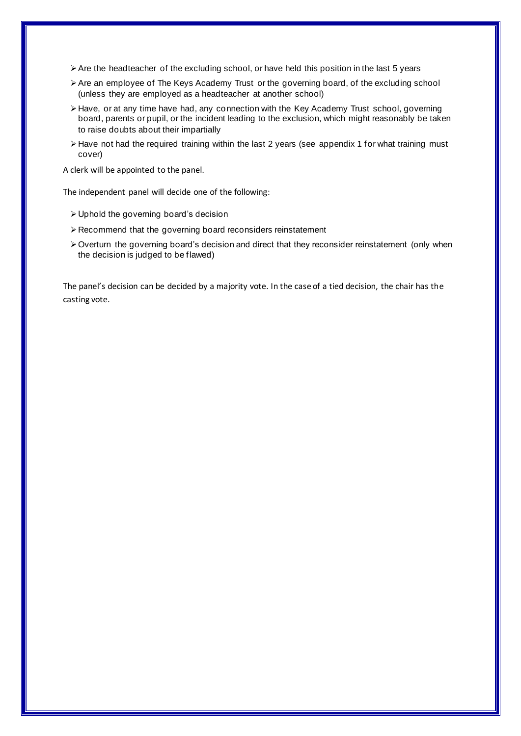- $\triangleright$  Are the headteacher of the excluding school, or have held this position in the last 5 years
- ➢Are an employee of The Keys Academy Trust or the governing board, of the excluding school (unless they are employed as a headteacher at another school)
- ➢Have, or at any time have had, any connection with the Key Academy Trust school, governing board, parents or pupil, or the incident leading to the exclusion, which might reasonably be taken to raise doubts about their impartially
- ➢Have not had the required training within the last 2 years (see appendix 1 for what training must cover)

A clerk will be appointed to the panel.

The independent panel will decide one of the following:

- ➢Uphold the governing board's decision
- ➢Recommend that the governing board reconsiders reinstatement
- ➢Overturn the governing board's decision and direct that they reconsider reinstatement (only when the decision is judged to be flawed)

The panel's decision can be decided by a majority vote. In the case of a tied decision, the chair has the casting vote.